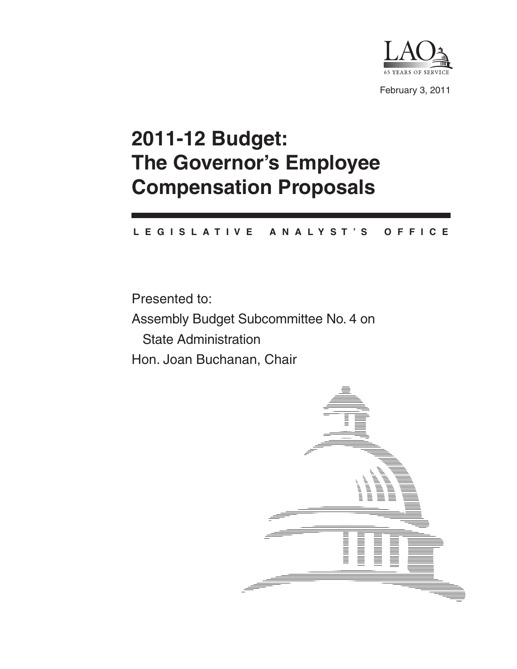

February 3, 2011

# **2011-12 Budget: The Governor's Employee Compensation Proposals**

#### **L E G I S L A T I V E A N A L Y S T ' S O F F I C E**

Presented to: Assembly Budget Subcommittee No. 4 on State Administration Hon. Joan Buchanan, Chair

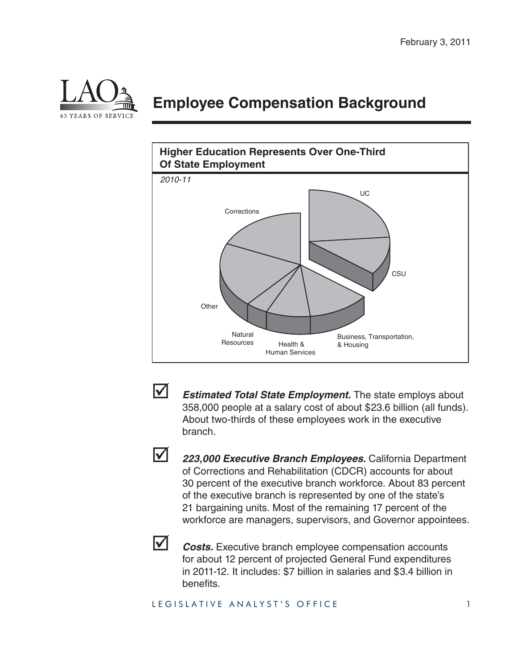

## **Employee Compensation Background**





**Estimated Total State Employment.** The state employs about 358,000 people at a salary cost of about \$23.6 billion (all funds). About two-thirds of these employees work in the executive branch.



 *223,000 Executive Branch Employees.* California Department of Corrections and Rehabilitation (CDCR) accounts for about 30 percent of the executive branch workforce. About 83 percent of the executive branch is represented by one of the state's 21 bargaining units. Most of the remaining 17 percent of the workforce are managers, supervisors, and Governor appointees.



**Z** *Costs.* Executive branch employee compensation accounts for about 12 percent of projected General Fund expenditures in 2011-12. It includes: \$7 billion in salaries and \$3.4 billion in benefits.

#### LEGISLATIVE ANALYST'S OFFICE 1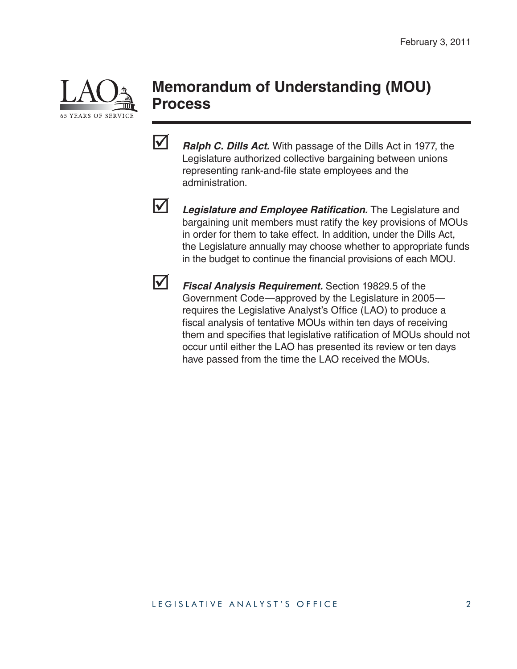

### **Memorandum of Understanding (MOU) Process**

*Ralph C. Dills Act.* With passage of the Dills Act in 1977, the Legislature authorized collective bargaining between unions representing rank-and-file state employees and the administration.



**12** Legislature and Employee Ratification. The Legislature and bargaining unit members must ratify the key provisions of MOUs in order for them to take effect. In addition, under the Dills Act, the Legislature annually may choose whether to appropriate funds in the budget to continue the financial provisions of each MOU.



 *Fiscal Analysis Requirement.* Section 19829.5 of the Government Code—approved by the Legislature in 2005 requires the Legislative Analyst's Office (LAO) to produce a fiscal analysis of tentative MOUs within ten days of receiving them and specifies that legislative ratification of MOUs should not occur until either the LAO has presented its review or ten days have passed from the time the LAO received the MOUs.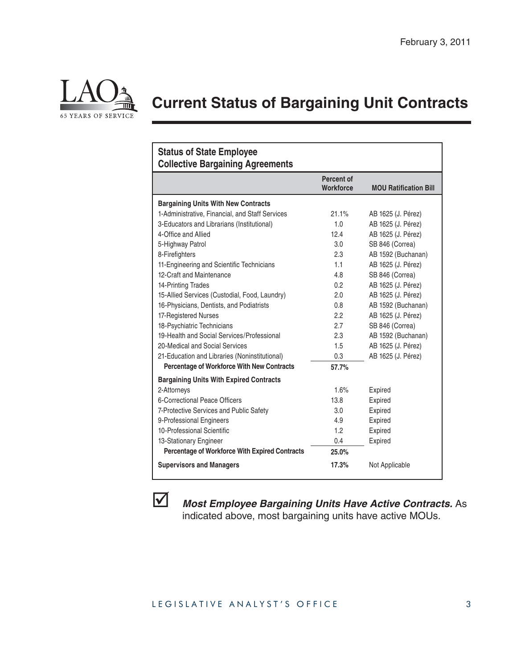

# **Current Status of Bargaining Unit Contracts**

| <b>Status of State Employee</b><br><b>Collective Bargaining Agreements</b> |                                |                              |
|----------------------------------------------------------------------------|--------------------------------|------------------------------|
|                                                                            | Percent of<br><b>Workforce</b> | <b>MOU Ratification Bill</b> |
| <b>Bargaining Units With New Contracts</b>                                 |                                |                              |
| 1-Administrative, Financial, and Staff Services                            | 21.1%                          | AB 1625 (J. Pérez)           |
| 3-Educators and Librarians (Institutional)                                 | 1.0                            | AB 1625 (J. Pérez)           |
| 4-Office and Allied                                                        | 12.4                           | AB 1625 (J. Pérez)           |
| 5-Highway Patrol                                                           | 3.0                            | SB 846 (Correa)              |
| 8-Firefighters                                                             | 2.3                            | AB 1592 (Buchanan)           |
| 11-Engineering and Scientific Technicians                                  | 1.1                            | AB 1625 (J. Pérez)           |
| 12-Craft and Maintenance                                                   | 4.8                            | SB 846 (Correa)              |
| 14-Printing Trades                                                         | 0.2                            | AB 1625 (J. Pérez)           |
| 15-Allied Services (Custodial, Food, Laundry)                              | 2.0                            | AB 1625 (J. Pérez)           |
| 16-Physicians, Dentists, and Podiatrists                                   | 0.8                            | AB 1592 (Buchanan)           |
| 17-Registered Nurses                                                       | 2.2                            | AB 1625 (J. Pérez)           |
| 18-Psychiatric Technicians                                                 | 2.7                            | SB 846 (Correa)              |
| 19-Health and Social Services/Professional                                 | 2.3                            | AB 1592 (Buchanan)           |
| 20-Medical and Social Services                                             | 1.5                            | AB 1625 (J. Pérez)           |
| 21-Education and Libraries (Noninstitutional)                              | 0.3                            | AB 1625 (J. Pérez)           |
| <b>Percentage of Workforce With New Contracts</b>                          | 57.7%                          |                              |
| <b>Bargaining Units With Expired Contracts</b>                             |                                |                              |
| 2-Attorneys                                                                | 1.6%                           | Expired                      |
| 6-Correctional Peace Officers                                              | 13.8                           | Expired                      |
| 7-Protective Services and Public Safety                                    | 3.0                            | Expired                      |
| 9-Professional Engineers                                                   | 4.9                            | Expired                      |
| 10-Professional Scientific                                                 | 1.2                            | Expired                      |
| 13-Stationary Engineer                                                     | 0.4                            | Expired                      |
| <b>Percentage of Workforce With Expired Contracts</b>                      | 25.0%                          |                              |
| <b>Supervisors and Managers</b>                                            | 17.3%                          | Not Applicable               |



 *Most Employee Bargaining Units Have Active Contracts.* As indicated above, most bargaining units have active MOUs.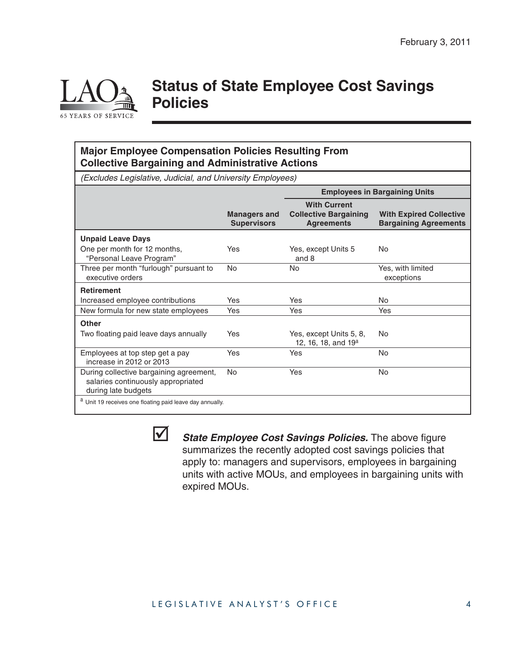

### **Status of State Employee Cost Savings Policies**

#### **Major Employee Compensation Policies Resulting From Collective Bargaining and Administrative Actions**

(Excludes Legislative, Judicial, and University Employees)

|                                                                                                      |                                           | <b>Employees in Bargaining Units</b>                                     |                                                                |
|------------------------------------------------------------------------------------------------------|-------------------------------------------|--------------------------------------------------------------------------|----------------------------------------------------------------|
|                                                                                                      | <b>Managers and</b><br><b>Supervisors</b> | <b>With Current</b><br><b>Collective Bargaining</b><br><b>Agreements</b> | <b>With Expired Collective</b><br><b>Bargaining Agreements</b> |
| <b>Unpaid Leave Days</b>                                                                             |                                           |                                                                          |                                                                |
| One per month for 12 months,<br>"Personal Leave Program"                                             | Yes                                       | Yes, except Units 5<br>and 8                                             | No                                                             |
| Three per month "furlough" pursuant to<br>executive orders                                           | No                                        | No                                                                       | Yes, with limited<br>exceptions                                |
| <b>Retirement</b>                                                                                    |                                           |                                                                          |                                                                |
| Increased employee contributions                                                                     | Yes                                       | <b>Yes</b>                                                               | No.                                                            |
| New formula for new state employees                                                                  | Yes                                       | Yes                                                                      | Yes                                                            |
| Other                                                                                                |                                           |                                                                          |                                                                |
| Two floating paid leave days annually                                                                | Yes                                       | Yes, except Units 5, 8,<br>12, 16, 18, and 19 <sup>a</sup>               | No                                                             |
| Employees at top step get a pay<br>increase in 2012 or 2013                                          | Yes                                       | Yes                                                                      | <b>No</b>                                                      |
| During collective bargaining agreement,<br>salaries continuously appropriated<br>during late budgets | <b>No</b>                                 | Yes                                                                      | No.                                                            |
| a Unit 19 receives one floating paid leave day annually.                                             |                                           |                                                                          |                                                                |



*State Employee Cost Savings Policies.* The above figure summarizes the recently adopted cost savings policies that apply to: managers and supervisors, employees in bargaining units with active MOUs, and employees in bargaining units with expired MOUs.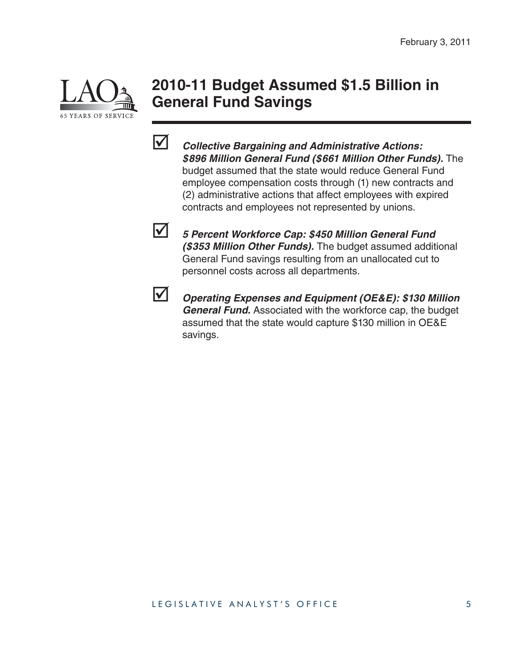

### **2010-11 Budget Assumed \$1.5 Billion in General Fund Savings**



 *Collective Bargaining and Administrative Actions: \$896 Million General Fund (\$661 Million Other Funds).* The budget assumed that the state would reduce General Fund employee compensation costs through (1) new contracts and (2) administrative actions that affect employees with expired contracts and employees not represented by unions.



 *5 Percent Workforce Cap: \$450 Million General Fund (\$353 Million Other Funds).* The budget assumed additional General Fund savings resulting from an unallocated cut to personnel costs across all departments.



 *Operating Expenses and Equipment (OE&E): \$130 Million General Fund.* Associated with the workforce cap, the budget assumed that the state would capture \$130 million in OE&E savings.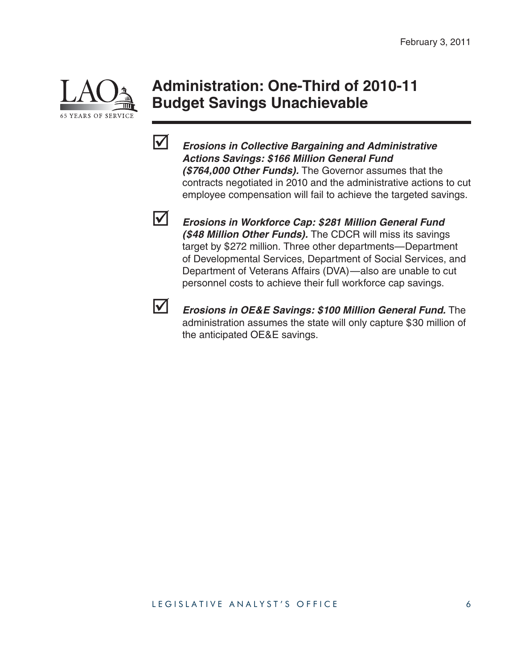

### **Administration: One-Third of 2010-11 Budget Savings Unachievable**



 *Erosions in Collective Bargaining and Administrative Actions Savings: \$166 Million General Fund (\$764,000 Other Funds).* The Governor assumes that the contracts negotiated in 2010 and the administrative actions to cut employee compensation will fail to achieve the targeted savings.



 *Erosions in Workforce Cap: \$281 Million General Fund (\$48 Million Other Funds).* The CDCR will miss its savings target by \$272 million. Three other departments—Department of Developmental Services, Department of Social Services, and Department of Veterans Affairs (DVA)—also are unable to cut personnel costs to achieve their full workforce cap savings.



**M** *Erosions in OE&E Savings: \$100 Million General Fund.* The administration assumes the state will only capture \$30 million of the anticipated OE&E savings.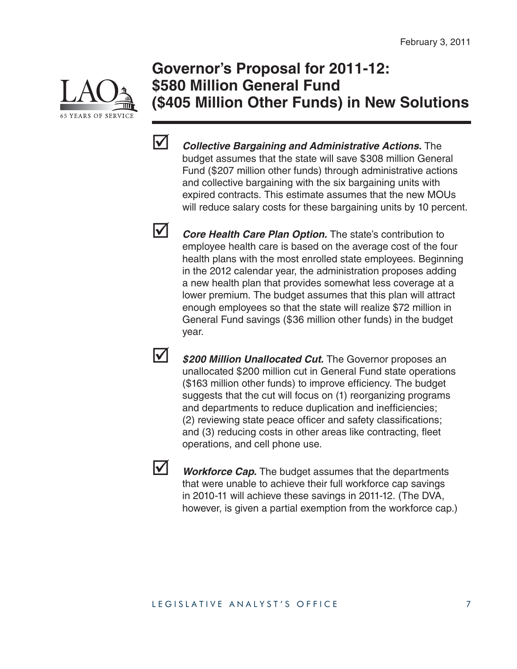

### **Governor's Proposal for 2011-12: \$580 Million General Fund (\$405 Million Other Funds) in New Solutions**



*Collective Bargaining and Administrative Actions.* **The** budget assumes that the state will save \$308 million General Fund (\$207 million other funds) through administrative actions and collective bargaining with the six bargaining units with expired contracts. This estimate assumes that the new MOUs will reduce salary costs for these bargaining units by 10 percent.

**V** *Core Health Care Plan Option.* The state's contribution to employee health care is based on the average cost of the four health plans with the most enrolled state employees. Beginning in the 2012 calendar year, the administration proposes adding a new health plan that provides somewhat less coverage at a lower premium. The budget assumes that this plan will attract enough employees so that the state will realize \$72 million in General Fund savings (\$36 million other funds) in the budget year.

**1** \$200 Million Unallocated Cut. The Governor proposes an unallocated \$200 million cut in General Fund state operations (\$163 million other funds) to improve efficiency. The budget suggests that the cut will focus on (1) reorganizing programs and departments to reduce duplication and inefficiencies; (2) reviewing state peace officer and safety classifications; and (3) reducing costs in other areas like contracting, fleet operations, and cell phone use.



**V** Workforce Cap. The budget assumes that the departments that were unable to achieve their full workforce cap savings in 2010-11 will achieve these savings in 2011-12. (The DVA, however, is given a partial exemption from the workforce cap.)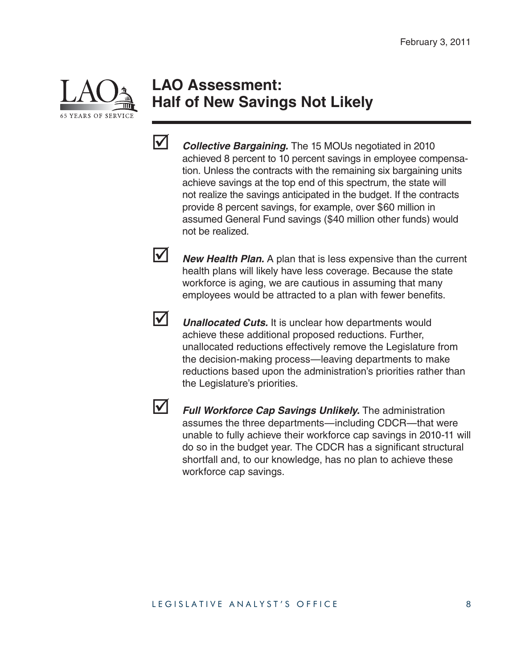

### **LAO Assessment: Half of New Savings Not Likely**



*Collective Bargaining.* The 15 MOUs negotiated in 2010 achieved 8 percent to 10 percent savings in employee compensation. Unless the contracts with the remaining six bargaining units achieve savings at the top end of this spectrum, the state will not realize the savings anticipated in the budget. If the contracts provide 8 percent savings, for example, over \$60 million in assumed General Fund savings (\$40 million other funds) would not be realized.

**Mew Health Plan.** A plan that is less expensive than the current health plans will likely have less coverage. Because the state workforce is aging, we are cautious in assuming that many employees would be attracted to a plan with fewer benefits.



**V** *Unallocated Cuts.* It is unclear how departments would achieve these additional proposed reductions. Further, unallocated reductions effectively remove the Legislature from the decision-making process—leaving departments to make reductions based upon the administration's priorities rather than the Legislature's priorities.



 *Full Workforce Cap Savings Unlikely.* The administration assumes the three departments—including CDCR—that were unable to fully achieve their workforce cap savings in 2010-11 will do so in the budget year. The CDCR has a significant structural shortfall and, to our knowledge, has no plan to achieve these workforce cap savings.